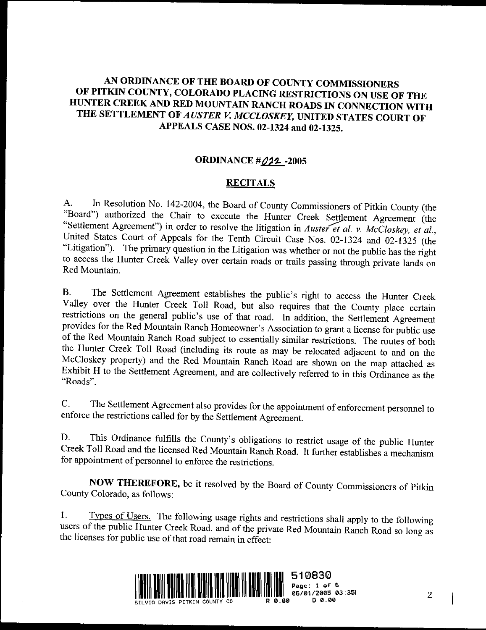# AN ORDINANCE OF THE BOARD OF COUNTY COMMISSIONERS OF PITKIN COUNTY, COLORADO PLACING RESTRICTIONS ON USE OF THE HUNTER CREEK AND RED MOUNTAIN RANCH ROADS IN CONNECTION WITH THE SETTLEMENT OF AUSTER V. MCCLOSKEY, UNITED STATES COURT OF<br>APPEALS CASE NOS. 02-1324 and 02-1325. APPEALS CASE NOS. 02-1324 and 02-1325.<br>ORDINANCE  $\#\mathcal{O}42$ -2005

### **RECITALS**

A. In Resolution No. 142-2004, the Board of County Commissioners of Pitkin County (the "Board") authorized the Chair to execute the Hunter Creek Settlement Agreement (the "Settlement Agreement") in order to resolve the litigation in Auster et al. v. McCloskey, et al., United States Court of Appeals for the "Settlement Agreement") in order to resolve the litigation in Auster et al. v. McCloskey, et al., "Litigation"). The primary question in the Litigation was whether or not the public has the right to access the Hunter Creek Valley over certain roads or trails passing through private lands on Red Mountain.

B. The Settlement Agreement establishes the public's right to access the Hunter Creek Valley over the Hunter Creek Toll Road, but also requires that the County place certain restrictions on the general public's use of that road. In addition, the Settlement Agreement provides for the Red Mountain Ranch Homeowner's Association to grant a license for public use<br>of the Red Mountain Ranch Road subject to essentially similar restrictions. The routes of both<br>the Hunter Creek Toll Road (inclu provides for the Red Mountain Ranch Homeowner's Association to grant a license for public use<br>of the Red Mountain Ranch Road subject to essentially similar restrictions. The routes of both<br>the Hunter Creek Toll Road (inclu of the Red Mountain Ranch Road subject to essentially similar restrictions. The routes of both<br>the Hunter Creek Toll Road (including its route as may be relocated adjacent to and on the<br>McCloskey property) and the Red Moun the Hunter Creek Toll Road (including its route as may be relocated adjacent to and on the McCloskey property) and the Red Mountain Ranch Road are shown on the map attached as Exhibit H to the Settlement Agreement, and are Exhibit H to the Settlement Agreement, and are collectively referred to in this Ordinance as the "Roads".<br>C. The Settlement Agreement also provides for the appointment of enforcement personnel to

enforce the restrictions called for by the Settlement Agreement.

For the Settlement Agreement.<br>This Ordinance fulfills the County's obligations to restrict usage of the public Hunter<br>Creek Toll Road and the licensed Red Mountain Ranch Road. It further ortablishes a mash wise D. This Ordinance fulfills the County's obligations to restrict usage of the public Hunter<br>Creek Toll Road and the licensed Red Mountain Ranch Road. It further establishes a mechanism enforce the restrictions called for by the Settlement Agr<br>D. This Ordinance fulfills the County's obligation<br>Creek Toll Road and the licensed Red Mountain Ranch<br>for appointment of personnel to enforce the restrictions. This Ordinance fulfills the County's obligations to restrict usage of the public Hunter<br>Foll Road and the licensed Red Mountain Ranch Road. It further establishes a mechanism<br>Dintment of personnel to enforce the restrictio

NOW THEREFORE, be it resolved by the Board of County Commissioners of Pitkin County Colorado, as follows:

**NOW THEREFORE,** be it resolved by the Board of County Commissioners of Pitkin County Colorado, as follows:<br>1. Types of Users. The following usage rights and restrictions shall apply to the following users of the public Hu 1. Types of Users. The following usage rights and restrictions shall apply to the following users of the public Hunter Creek Road, and of the private Red Mountain Ranch Road so long as the licenses for public use of that r

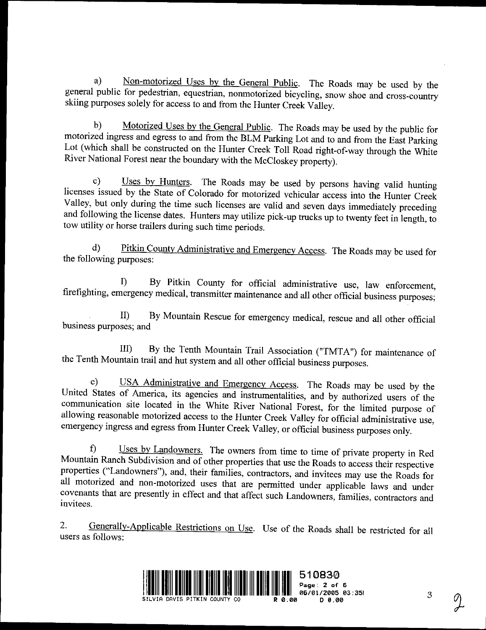a) Non-motorized Uses by the General Public. The Roads may be used by the general public for pedestrian, equestrian, nonmotorized bicycling, snow shoe and cross-country skiing purposes solely for access to and from the Hunter Creek Valley.

b) Motorized Uses by the General Public. The Roads may be used by the public for motorized ingress and egress to and from the BLM Parking Lot and to and from the East Parking b) Motorized Uses by the General Public. The Roads may be used by the public for motorized ingress and egress to and from the BLM Parking Lot and to and from the East Parking Lot (which shall be constructed on the Hunter C Lot (which shall be constructed on the Hunter Creek Toll Road right-<br>River National Forest near the boundary with the McCloskey property). River National Forest near the boundary with the McCloskey property).<br>
c) Uses by Hunters. The Roads may be used by persons having valid hunting

licenses issued by the State of Colorado for motorized vehicular access into the Hunter Creek Fractises issued by the state of Colorado for motorized vehicular access into the Hunter Creek<br>Valley, but only during the time such licenses are valid and seven days immediately preceding<br>and following the license dates. anu valley, but only during the time such ficenses are valid and seven days immediately preceding and following the license dates. Hunters may utilize pick-up trucks up to twenty feet in length, to tow utility or horse trailer and following the license dates. Hunters may utilize pick-up trucks up to twenty feet in length, to<br>tow utility or horse trailers during such time periods.<br>d) <u>Pitkin County Administrative and Emergency Access</u>. The Roads

d) Pitkin County Administrative and Emergency Access. The Roads may be used for the following purposes:

I) By Pitkin County for official administrative use, law enforcement, nergency medical, transmitter maintenance and all other official business purposes; II) By Mountain Rescue for emergency medical, rescue and all other o

II) By Mountain Rescue for emergency medical, rescue and all other official business purposes; and

III) By the Tenth Mountain Trail Association ("TMTA") for maintenance of the Tenth Mountain trail and hut system and all other official business purposes.

e) USA Administrative and Emergency Access. The Roads may be used by the III) By the Tenth Mountain Trail Association ("T<br>the Tenth Mountain trail and hut system and all other official busines<br>e) USA Administrative and Emergency Access. The<br>United States of America, its agencies and instrumenta America, its agencies and instrumentalities, and by authorized users of the site located in the White River National Forest, for the limited purpose of the motorized access to the Hunter Creek Valley for official administr communication site located in the White River National Forest, for the limited purpose of allowing reasonable motorized access to the Hunter Creek Valley for official administrative use, emergency ingress and egress from Hunter Creek Valley, or official business purposes only. e) USA Administrative and Emergency Access. The Roa States of America, its agencies and instrumentalities, and by nication site located in the White River National Forest, for g reasonable motorized access to the Hunter Cr

f) Uses by Landowners. The owners from time to time of private property in Red Mountain Ranch Subdivision and of other properties that use the Roads to access their respective Uses by Landowners. The owners from time to time of private property in Red properties properties access to the Hunter Creek Valley for official administrative use, emergency ingress and egress from Hunter Creek Valley, or official business purposes only.<br>
f) Uses by Landowners. The owners from ti all motorized and non-motorized uses that are permitted under applicable laws and under covenants that are presently in effect and that affect such Landowners, families, contractors and Mountain Ranch Subdivision and of other properties that use the Roads to access their respective properties ("Landowners"), and, their families, contractors, and invitees may use the Roads for all motorized and non-motoriz invitees.

2. Generally-Applicable Restrictions on Use. Use of the Roads shall be restricted for all users as follows:



 $\mathfrak{Z}$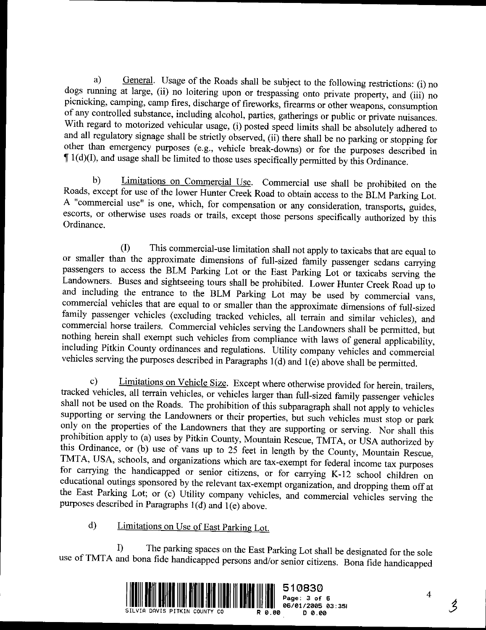a) General. Usage of the Roads shall be subject to the following restrictions: (i) no dogs running at large, (ii) no loitering upon or trespassing onto private property, and (iii) no picnicking, camping, camp fires, discha dogs running at large, (ii) no loitering upon or trespassing onto private property, and (iii) no of any controlled substance, including alcohol, parties, gatherings or public or private nuisances. pichicking, camping, camp fires, discharge of fireworks, firearms or other weapons, consumption<br>of any controlled substance, including alcohol, parties, gatherings or public or private nuisances.<br>With regard to motorized v With regard to motorized vehicular usage, (i) posted speed limits shall be absolutely adhered to and all regulatory signage shall be strictly observed, (ii) there shall be no parking or stopping for other than emergency pu other than emergency purposes (e.g., vehicle break-downs) or for the purposes described in  $\P$  1(d)(I), and usage shall be limited to those uses specifically permitted by this Ordinance. The regard to motorized vehicular usage, (i) posted speed limits shall be absolutely add all regulatory signage shall be strictly observed, (ii) there shall be no parking or stopp her than emergency purposes (e.g., vehicl

the Roads, except for use of the lower Hunter Creek Road to obtain access to the BLM Parking Lot.<br>A "commercial use" is one which for commercial to the BLM Parking Lot. Lot. A "commercial use" is one, which, for compensation or any consideration, transports, or otherwise uses roads or trails, except those persons specifically authorized by the Roads, except for use of the lower Hunter Cr b) Limitations on Commercial Use. Commercial use shall be prohibited on the Roads, except for use of the lower Hunter Creek Road to obtain access to the BLM Parking Lot. A "commercial use" is one, which, for compensation o The commercial use is one, which, for compensation or any consideration, transports, guides,<br>escorts, or otherwise uses roads or trails, except those persons specifically authorized by this<br>Ordinance.<br>(I) This commercial-u

(I) This commercial-use limitation shall not apply to taxicabs that are equal to or smaller than the approximate dimensions of full-sized family passenger sedans carrying passengers to access the BLM Parking Lot or the Eas passengers to access the BLM Parking Lot or the East Parking Lot or taxicals suat are equal to<br>passengers to access the BLM Parking Lot or the East Parking Lot or taxicabs serving the<br>Landowners. Buses and sightseeing tour passengers to access the BLM Parking Lot or the East Parking Lot or taxicabs serving the Landowners. Buses and sightseeing tours shall be prohibited. Lower Hunter Creek Road up to passengers to access the BLM Parking Lot or the East Parking Lot or taxicabs serving the Landowners. Buses and sightseeing tours shall be prohibited. Lower Hunter Creek Road up to and including the entrance to the BLM Park commercial vehicles that are equal to or smaller than the approximate dimensions of full-sized<br>family passenger vehicles (excluding tracked vehicles, all terrain and similar vehicles), and and including the entrance to the BLM Parking Lot may be used by commercial vans, commercial vehicles that are equal to or smaller than the approximate dimensions of full-sized family passenger vehicles (excluding tracked commercial horse trailers. Commercial vehicles serving the Landowners shall be permitted, but nothing herein shall exempt such vehicles from compliance with laws of general applicability, commercial horse trailers. Commercial vehicles serving the Landowners shall be permitted, but nothing herein shall exempt such vehicles from compliance with laws of general applicability, including Pitkin County ordinances ramity passenger vehicles (excluding tracked vehicles, all terrain and similar vehicles), and<br>commercial horse trailers. Commercial vehicles serving the Landowners shall be permitted, but<br>nothing herein shall exempt such

vehicles serving the purposes described in Paragraphs 1(d) and 1(e) above shall be permitted.<br>c) Limitations on Vehicle Size. Except where otherwise provided for herein, trailers, tracked vehicles, all terrain vehicles, or shall not be used on the Roads. The prohibition of this subparagraph shall not apply to vehicles supporting or serving the Landowners or their properties, but such vehicles must stop or park shall not be used on the Roads. The prohibition of this subparagraph shall not apply to vehicles supporting or serving the Landowners or their properties, but such vehicles must stop or park only on the properties of the L snan not be<br>supporting<br>only on the<br>prohibition<br>this Ordina tracked vehicles, all terrain vehicles, or vehicles larger than full-sized family passenger vehicles<br>shall not be used on the Roads. The prohibition of this subparagraph shall not apply to vehicles<br>supporting or serving th this Ordinance, or (b) use of vans up to 25 feet in length by the County, Mountain Rescue, TMTA, USA, schools, and organizations which are tax-exempt for federal income tax purposes for carrying the handicapped or senior c the East Parking Lot; or (c) Utility company vehicles, and commercial vehicles serving the the East Parking Lot; or (c) Utility company vehicles,<br>purposes described in Paragraphs 1(d) and 1(e) above.<br>d) Limitations on Use of East Parking Lot.

Limitations on Use of East Parking Lot.<br>
1) The parking spaces on the East Parking Lot shall be designated for the sole use of TMTA and bona fide handicapped persons and/or senior citizens. Bona fide handicapped



 $\boldsymbol{4}$ 

 $\mathcal{\r{Z}}$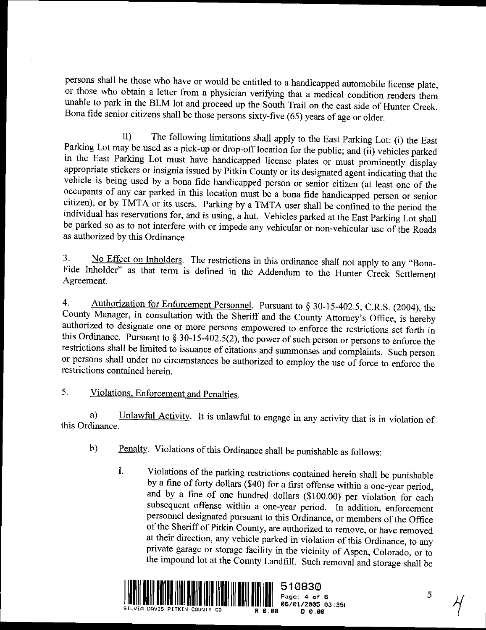persons shall be those who have or would be entitled to <sup>a</sup> handicapped automobile license plate, or those who obtain <sup>a</sup> letter from <sup>a</sup> physician verifying that <sup>a</sup> medical condition renders them unable to park in the BLM lot and proceed up the South Trail on the east side of Hunter Creek. Bona fide senior citizens shall be those persons sixty-five (65) years of age or older.

II) The following limitations shall apply to the East Parking Lot: (i) the East Parking Lot may be used as a pick-up or drop-off location for the public; and (ii) vehicles parked Experiment Parking Lot may be used as a pick-up or drop-off location for the public; and (ii) vehicles parked<br>Parking Lot may be used as a pick-up or drop-off location for the public; and (ii) vehicles parked<br>in the East P must prominently display<br>in the East Parking Lot must have handicapped license plates or must prominently display<br>appropriate stickers or insignia issued by Pitkin County or its designated agent indicating that the<br>vehicle II) The following limitations shall apply to the East Parking Lot: (i) the East<br>Parking Lot may be used as a pick-up or drop-off location for the public; and (ii) vehicles parked<br>in the East Parking Lot must have handicapp II) The following limitations shall apply to the East Parking Lot: (i) the East<br>Parking Lot may be used as a pick-up or drop-off location for the public; and (ii) vehicles parked<br>in the East Parking Lot must have handicapp vehicle is being used by a bona fide handicapped person or senior citizen (at least one of the occupants of any car parked in this location must be a bona fide handicapped person or senior citizen), or by TMTA or its users occupants of any car parked in this location must be a bona fide handicapped person or senior citizen), or by TMTA or its users. Parking by a TMTA user shall be confined to the period the individual has reservations for, a citizen), or by TMTA or its users. Parking by a TMTA user shall be confined to the period the individual has reservations for, and is using, a hut. Vehicles parked at the East Parking Lot shall be parked so as to not inter

be parked so as to not interfere with or impede any vehicular or non-vehicular use of the Roads<br>as authorized by this Ordinance.<br>3. No Effect on Inholders. The restrictions in this ordinance shall not apply to any "Bona-<br>F as authorized by this Ordinance.<br>
3. No Effect on Inholders. The restrictions in this ordinance shall not apply to any "Bona-<br>
Fide Inholder" as that term is defined in the Addendum to the Hunter Creek Settlement<br>
Agreemen 3. No Effect on Inholders. The restrictions in this ordina<br>Fide Inholder" as that term is defined in the Addendum<br>Agreement.<br>4. Authorization for Enforcement Personnel. Pursuant to<br>County Manager, in consultation with the

4. Authorization for Enforcement Personnel. Pursuant to § 30-15-402.5, C.R.S. (2004), the County Manager, in consultation with the Sheriff and the County Attorney's Office, is hereby Authorization for Enforcement Personnel. Pursuant to  $\S 30-15-402.5$ , C.R.S. (2004), the Fide Inholder" as that term is defined in the Addendum to the Hunter Creek Settlement<br>Agreement.<br>4. Authorization for Enforcement Personnel. Pursuant to § 30-15-402.5, C.R.S. (2004), the<br>County Manager, in consultation wi to designate one or more persons empowered to enforce the restrictions set forth in<br>nce. Pursuant to  $\S 30-15-402.5(2)$ , the power of such person or persons to enforce the<br>shall be limited to issuance of citations and sum this Ordinance. Pursuant to  $\S 30-15-402.5(2)$ , the power of such person or persons to enforce the restrictions shall be limited to issuance of citations and summonses and complaints. Such person or persons shall under no restrictions shall under no circumstances be at restrictions contained herein.<br>
5. Violations, Enforcement and Penalties.

Violations, Enforcement and Penalties.<br>a) Unlawful Activity. It is unlawful to engage in any activity that is in violation of linance.  $\begin{bmatrix} a \\ \text{this Ordinance} \end{bmatrix}$ a) Unlawful Activity. It is unlawful to engage in any activity that is in<br>dinance.<br>b) Penalty. Violations of this Ordinance shall be punishable as follows:

- 
- Violations of this Ordinance shall be punishable as follows:<br>Violations of the parking restrictions contained herein shall be punishable<br>by a fine of forty dollars (\$40) for a first offense within a one-year period,<br>and by For a first of this Ordinance shall be punishable as follows:<br>I. Violations of the parking restrictions contained herein shall be punishable<br>by a fine of forty dollars (\$40) for a first offense within a one-year period,<br>an subsequent offense within a one-year period. In addition, enforcement and by a fine of one hundred dollars (\$100.00) per violation for each<br>subsequent offense within a one-year period. In addition, enforcement<br>personnel designated pursuant to this Ordinance, or members of the Office<br>of the S subsequent offense within a one-year period. In addition, enforcement<br>personnel designated pursuant to this Ordinance, or members of the Office<br>of the Sheriff of Pitkin County, are authorized to remove, or have removed<br>at and their direction, any vehicle parked in violation of this Ordinance, to any private garage or storage facility in the vicinity of Aspen, Colorado, or to the impound lot at the County Landfill. Such garage  $\frac{1}{2}$ at their direction, any venicle parked in violation of this Ordinance, to any<br>private garage or storage facility in the vicinity of Aspen, Colorado, or to<br>the impound lot at the County Landfill. Such removal and storage sh



351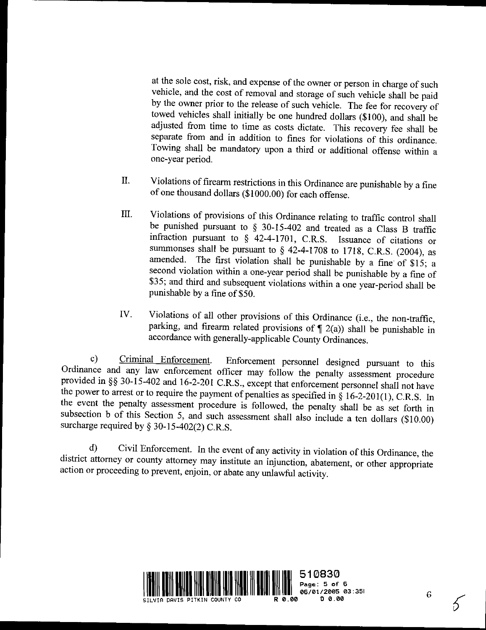at the sole cost, risk, and expense of the owner or person in charge of such vehicle, and the cost of removal and storage of such vehicle shall be paid by the owner prior to the release of such vehicle. The fee for recovery of towed vehicles shall initially be one hundred dollars (\$100), and shall be adjusted from time to time as costs dictate. This recovery fee shall be separate from and in addition to fines for violations of this ordinance. Towing shall be mandatory upon <sup>a</sup> third or additional offense within <sup>a</sup> one-year period. period.<br>
Separate from and in addition to fines for violations of this ordinance.<br>
Towing shall be mandatory upon a third or additional offense within a<br>
one-year period.<br>
II. Violations of firearm restrictions in this Ord

- Violations of firearm restrictions in this Ordinance are punishable by a fine of one thousand dollars (\$1000.00) for each offense. II. Violations of firearm restrictions in this Ordinance are punishable by a fine<br>of one thousand dollars (\$1000.00) for each offense.<br>III. Violations of provisions of this Ordinance relating to traffic control shall<br>be p
- Shall be punished pursuant to § 30-15-402 and treated as a Class B traffic<br>punished pursuant to § 30-15-402 and treated as a Class B traffic<br>infraction pursuant to § 42-4-1701 CRS Issuance of citations or Violations of provisions of this Ordinance relating to traffic control shall<br>be punished pursuant to  $\S$  30-15-402 and treated as a Class B traffic<br>infraction pursuant to  $\S$  42-4-1701, C.R.S. Issuance of citations or<br>sum pursuant to  $\S$  30-15-402 and treated as a Class B traffic<br>ursuant to  $\S$  42-4-1701, C.R.S. Issuance of citations or<br>shall be pursuant to  $\S$  42-4-1708 to 1718, C.R.S. (2004), as<br>fhe first violation shall be punishable by be punsiled pulsuant to  $\frac{1}{8}$  30-15-402 and treated as a Class B traffic<br>infraction pursuant to  $\frac{1}{8}$  42-4-1701, C.R.S. Issuance of citations or<br>summonses shall be pursuant to  $\frac{1}{8}$  42-4-1708 to 1718, C.R.S. ( summonses shall be pursuant to  $\frac{6}{5}$  42-4-1708 to 1718, C.R.S. (2004), as<br>amended. The first violation shall be punishable by a fine of \$15; a<br>second violation within a one-year period shall be punishable by a fine of infraction pursuant to § 42-4-1701, C.R.S. Issuance of citations or<br>summonses shall be pursuant to § 42-4-1708 to 1718, C.R.S. (2004), as<br>amended. The first violation shall be punishable by a fine of \$15; a<br>second violati second violation within a one-year period shall be punishable by a fine of \$35; and third and subsequent violations within a one year-period shall be punishable by a fine of \$50. second violation within a one-year period shall be punishable by a fine of \$35; and third and subsequent violations within a one year-period shall be punishable by a fine of \$50.<br>IV. Violations of all other provisions of
- \$35; and third and subsequent violations within a one year-perior punishable by a fine of \$50.<br>Violations of all other provisions of this Ordinance (i.e., the r parking, and firearm related provisions of  $\P$  2(a)) shall b

accordance with generally-applicable County Ordinances.<br>
c) Criminal Enforcement. Enforcement personnel designed pursuant to this Ordinance and any law enforcement officer may follow the penalty assessment procedure provid the power to arrest or to require the payment of penalties as specified in  $\S$  16-2-201(1), C.R.S. In Ordinance and any law enforcement officer may follow the penalty assessment procedure<br>provided in §§ 30-15-402 and 16-2-201 C.R.S., except that enforcement personnel shall not have<br>the power to arrest or to require the pa provided in §§ 30-15-402 and 16-2-201 C.R.S., except that enforcement personnel shall not have the power to arrest or to require the payment of penalties as specified in § 16-2-201(1), C.R.S. In the event the penalty asse surcharge required by § 30-15-402(2) C.R.S.<br>d) Civil Enforcement. In the event of any activity in violation of this Ordinance, the

d)<br>district at  $\mathcal{L}$ F.<br>1) Civi<br>attorney or<br>r proceedin district attorney or **c**<br>action or proceeding  $\frac{1}{3}$  SS-15-402(2) C.K.S.<br>ivil Enforcement. In the event of an<br>or county attorney may institute an<br>ling to prevent, enjoin or abate any ounty attorney may institute an injunction, abate<br>to prevent, enjoin, or abate any unlawful activity. exercity in violation of this Ordinance, the<br>injunction, abatement, or other appropriate<br>nlawful activity.